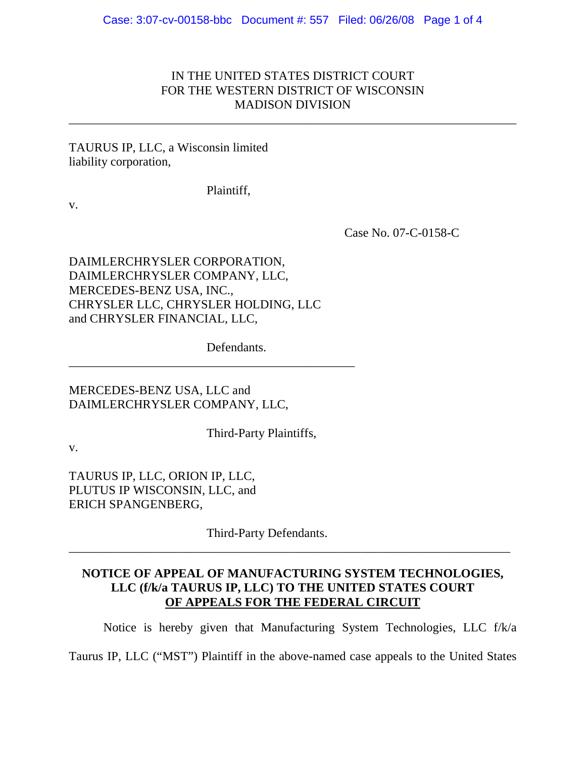# IN THE UNITED STATES DISTRICT COURT FOR THE WESTERN DISTRICT OF WISCONSIN MADISON DIVISION

\_\_\_\_\_\_\_\_\_\_\_\_\_\_\_\_\_\_\_\_\_\_\_\_\_\_\_\_\_\_\_\_\_\_\_\_\_\_\_\_\_\_\_\_\_\_\_\_\_\_\_\_\_\_\_\_\_\_\_\_\_\_\_\_\_\_\_\_\_\_\_\_

#### TAURUS IP, LLC, a Wisconsin limited liability corporation,

Plaintiff,

v.

Case No. 07-C-0158-C

DAIMLERCHRYSLER CORPORATION, DAIMLERCHRYSLER COMPANY, LLC, MERCEDES-BENZ USA, INC., CHRYSLER LLC, CHRYSLER HOLDING, LLC and CHRYSLER FINANCIAL, LLC,

Defendants.

\_\_\_\_\_\_\_\_\_\_\_\_\_\_\_\_\_\_\_\_\_\_\_\_\_\_\_\_\_\_\_\_\_\_\_\_\_\_\_\_\_\_\_\_\_\_

MERCEDES-BENZ USA, LLC and DAIMLERCHRYSLER COMPANY, LLC,

Third-Party Plaintiffs,

v.

TAURUS IP, LLC, ORION IP, LLC, PLUTUS IP WISCONSIN, LLC, and ERICH SPANGENBERG,

Third-Party Defendants.

# **NOTICE OF APPEAL OF MANUFACTURING SYSTEM TECHNOLOGIES, LLC (f/k/a TAURUS IP, LLC) TO THE UNITED STATES COURT OF APPEALS FOR THE FEDERAL CIRCUIT**

\_\_\_\_\_\_\_\_\_\_\_\_\_\_\_\_\_\_\_\_\_\_\_\_\_\_\_\_\_\_\_\_\_\_\_\_\_\_\_\_\_\_\_\_\_\_\_\_\_\_\_\_\_\_\_\_\_\_\_\_\_\_\_\_\_\_\_\_\_\_\_

Notice is hereby given that Manufacturing System Technologies, LLC f/k/a

Taurus IP, LLC ("MST") Plaintiff in the above-named case appeals to the United States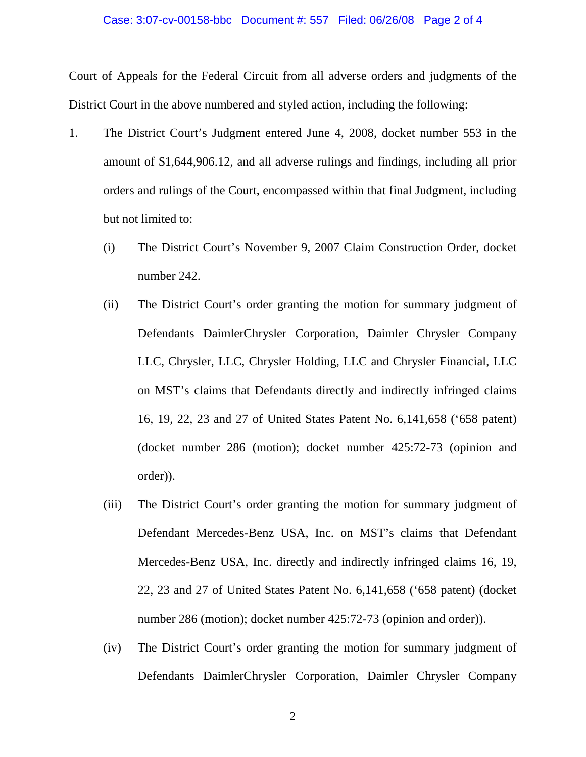#### Case: 3:07-cv-00158-bbc Document #: 557 Filed: 06/26/08 Page 2 of 4

Court of Appeals for the Federal Circuit from all adverse orders and judgments of the District Court in the above numbered and styled action, including the following:

- 1. The District Court's Judgment entered June 4, 2008, docket number 553 in the amount of \$1,644,906.12, and all adverse rulings and findings, including all prior orders and rulings of the Court, encompassed within that final Judgment, including but not limited to:
	- (i) The District Court's November 9, 2007 Claim Construction Order, docket number 242.
	- (ii) The District Court's order granting the motion for summary judgment of Defendants DaimlerChrysler Corporation, Daimler Chrysler Company LLC, Chrysler, LLC, Chrysler Holding, LLC and Chrysler Financial, LLC on MST's claims that Defendants directly and indirectly infringed claims 16, 19, 22, 23 and 27 of United States Patent No. 6,141,658 ('658 patent) (docket number 286 (motion); docket number 425:72-73 (opinion and order)).
	- (iii) The District Court's order granting the motion for summary judgment of Defendant Mercedes-Benz USA, Inc. on MST's claims that Defendant Mercedes-Benz USA, Inc. directly and indirectly infringed claims 16, 19, 22, 23 and 27 of United States Patent No. 6,141,658 ('658 patent) (docket number 286 (motion); docket number 425:72-73 (opinion and order)).
	- (iv) The District Court's order granting the motion for summary judgment of Defendants DaimlerChrysler Corporation, Daimler Chrysler Company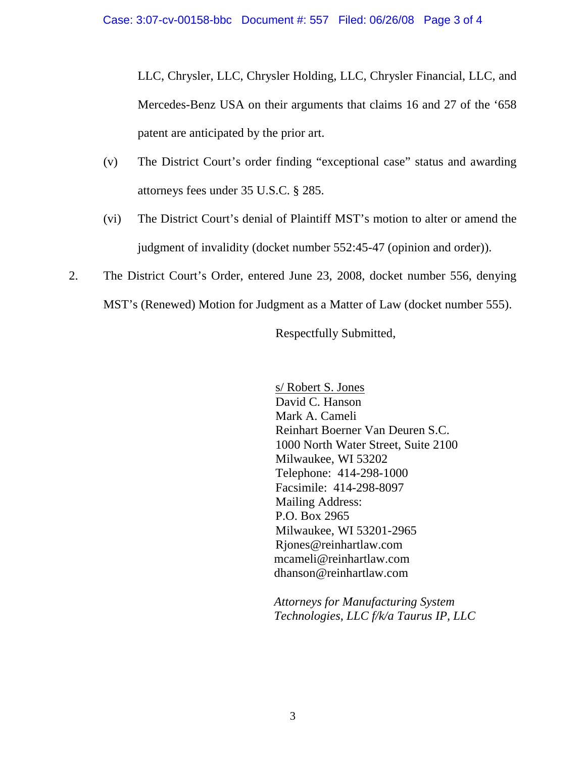LLC, Chrysler, LLC, Chrysler Holding, LLC, Chrysler Financial, LLC, and Mercedes-Benz USA on their arguments that claims 16 and 27 of the '658 patent are anticipated by the prior art.

- (v) The District Court's order finding "exceptional case" status and awarding attorneys fees under 35 U.S.C. § 285.
- (vi) The District Court's denial of Plaintiff MST's motion to alter or amend the judgment of invalidity (docket number 552:45-47 (opinion and order)).
- 2. The District Court's Order, entered June 23, 2008, docket number 556, denying MST's (Renewed) Motion for Judgment as a Matter of Law (docket number 555).

Respectfully Submitted,

 s/ Robert S. Jones David C. Hanson Mark A. Cameli Reinhart Boerner Van Deuren S.C. 1000 North Water Street, Suite 2100 Milwaukee, WI 53202 Telephone: 414-298-1000 Facsimile: 414-298-8097 Mailing Address: P.O. Box 2965 Milwaukee, WI 53201-2965 Rjones@reinhartlaw.com mcameli@reinhartlaw.com dhanson@reinhartlaw.com

*Attorneys for Manufacturing System Technologies, LLC f/k/a Taurus IP, LLC*